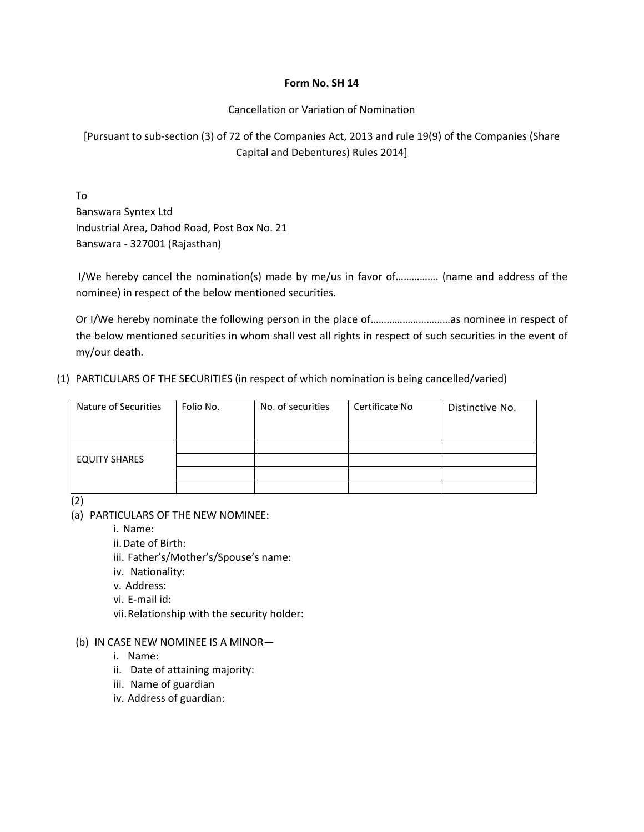## **Form No. SH 14**

Cancellation or Variation of Nomination

[Pursuant to sub‐section (3) of 72 of the Companies Act, 2013 and rule 19(9) of the Companies (Share Capital and Debentures) Rules 2014]

To Banswara Syntex Ltd Industrial Area, Dahod Road, Post Box No. 21 Banswara ‐ 327001 (Rajasthan)

I/We hereby cancel the nomination(s) made by me/us in favor of……………. (name and address of the nominee) in respect of the below mentioned securities.

Or I/We hereby nominate the following person in the place of…………………………as nominee in respect of the below mentioned securities in whom shall vest all rights in respect of such securities in the event of my/our death.

(1) PARTICULARS OF THE SECURITIES (in respect of which nomination is being cancelled/varied)

| Nature of Securities | Folio No. | No. of securities | Certificate No | Distinctive No. |
|----------------------|-----------|-------------------|----------------|-----------------|
|                      |           |                   |                |                 |
|                      |           |                   |                |                 |
|                      |           |                   |                |                 |
| <b>EQUITY SHARES</b> |           |                   |                |                 |
|                      |           |                   |                |                 |
|                      |           |                   |                |                 |

(2)

(a) PARTICULARS OF THE NEW NOMINEE:

i. Name:

ii.Date of Birth:

iii. Father's/Mother's/Spouse's name:

- iv. Nationality:
- v. Address:
- vi. E‐mail id:
- vii.Relationship with the security holder:
- (b) IN CASE NEW NOMINEE IS A MINOR
	- i. Name:
	- ii. Date of attaining majority:
	- iii. Name of guardian
	- iv. Address of guardian: